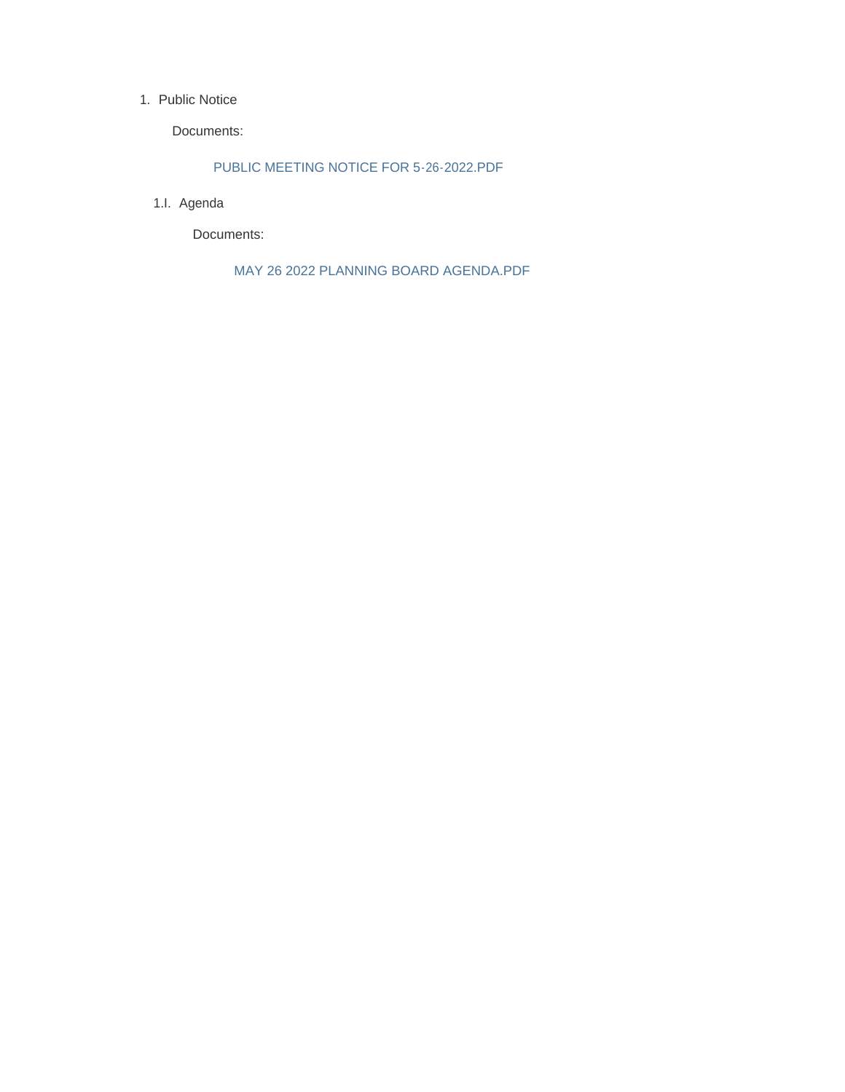#### 1. Public Notice

Documents:

PUBLIC MEETING NOTICE FOR 5-26-2022.PDF

1.I. Agenda

Documents:

MAY 26 2022 PLANNING BOARD AGENDA.PDF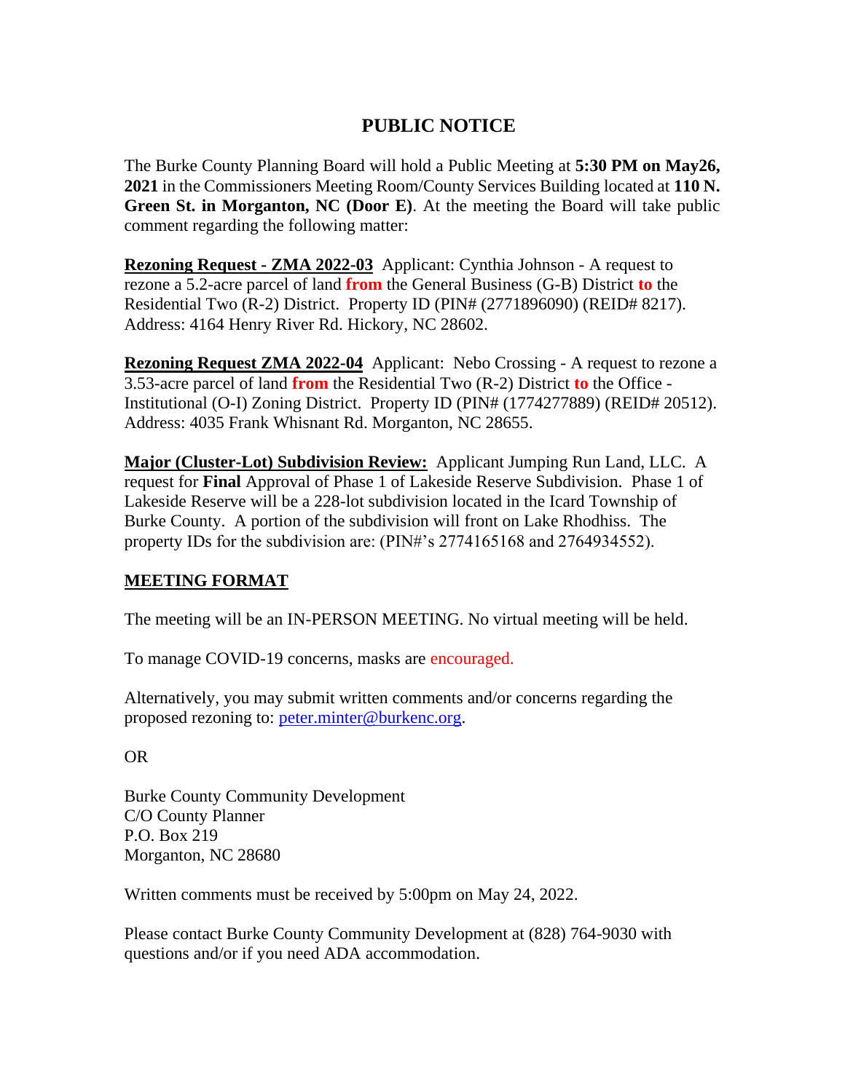### **PUBLIC NOTICE**

The Burke County Planning Board will hold a Public Meeting at **5:30 PM on May26, 2021** in the Commissioners Meeting Room/County Services Building located at **110 N. Green St. in Morganton, NC (Door E)**. At the meeting the Board will take public comment regarding the following matter:

**Rezoning Request - ZMA 2022-03** Applicant: Cynthia Johnson - A request to rezone a 5.2-acre parcel of land **from** the General Business (G-B) District **to** the Residential Two (R-2) District. Property ID (PIN# (2771896090) (REID# 8217). Address: 4164 Henry River Rd. Hickory, NC 28602.

**Rezoning Request ZMA 2022-04** Applicant: Nebo Crossing - A request to rezone a 3.53-acre parcel of land **from** the Residential Two (R-2) District **to** the Office - Institutional (O-I) Zoning District. Property ID (PIN# (1774277889) (REID# 20512). Address: 4035 Frank Whisnant Rd. Morganton, NC 28655.

**Major (Cluster-Lot) Subdivision Review:** Applicant Jumping Run Land, LLC. A request for **Final** Approval of Phase 1 of Lakeside Reserve Subdivision. Phase 1 of Lakeside Reserve will be a 228-lot subdivision located in the Icard Township of Burke County. A portion of the subdivision will front on Lake Rhodhiss. The property IDs for the subdivision are: (PIN#'s 2774165168 and 2764934552).

### **MEETING FORMAT**

The meeting will be an IN-PERSON MEETING. No virtual meeting will be held.

To manage COVID-19 concerns, masks are encouraged.

Alternatively, you may submit written comments and/or concerns regarding the proposed rezoning to: [peter.minter@burkenc.org.](mailto:peter.minter@burkenc.org)

OR

Burke County Community Development C/O County Planner P.O. Box 219 Morganton, NC 28680

Written comments must be received by 5:00pm on May 24, 2022.

Please contact Burke County Community Development at (828) 764-9030 with questions and/or if you need ADA accommodation.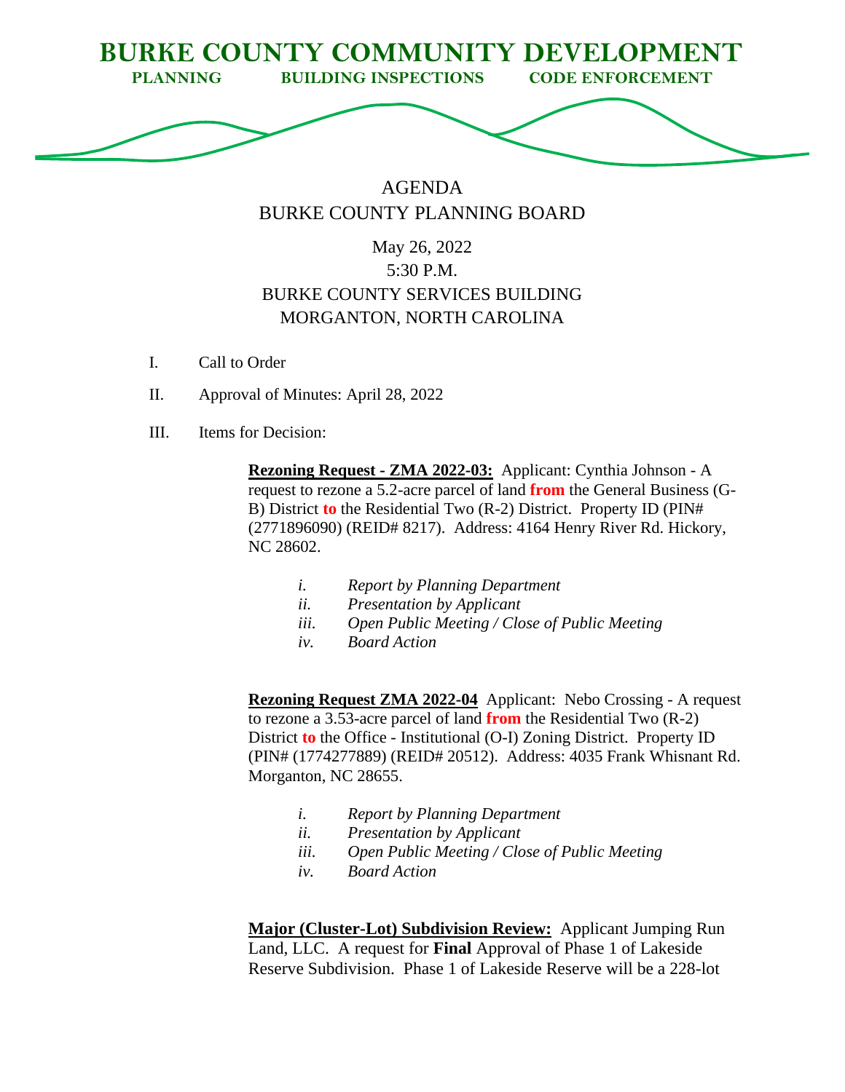

# AGENDA BURKE COUNTY PLANNING BOARD

# May 26, 2022 5:30 P.M. BURKE COUNTY SERVICES BUILDING MORGANTON, NORTH CAROLINA

- I. Call to Order
- II. Approval of Minutes: April 28, 2022
- III. Items for Decision:

**Rezoning Request - ZMA 2022-03:** Applicant: Cynthia Johnson - A request to rezone a 5.2-acre parcel of land **from** the General Business (G-B) District **to** the Residential Two (R-2) District. Property ID (PIN# (2771896090) (REID# 8217). Address: 4164 Henry River Rd. Hickory, NC 28602.

- *i. Report by Planning Department*
- *ii. Presentation by Applicant*
- *iii. Open Public Meeting / Close of Public Meeting*
- *iv. Board Action*

**Rezoning Request ZMA 2022-04** Applicant: Nebo Crossing - A request to rezone a 3.53-acre parcel of land **from** the Residential Two (R-2) District **to** the Office - Institutional (O-I) Zoning District. Property ID (PIN# (1774277889) (REID# 20512). Address: 4035 Frank Whisnant Rd. Morganton, NC 28655.

- *i. Report by Planning Department*
- *ii. Presentation by Applicant*
- *iii. Open Public Meeting / Close of Public Meeting*
- *iv. Board Action*

**Major (Cluster-Lot) Subdivision Review:** Applicant Jumping Run Land, LLC. A request for **Final** Approval of Phase 1 of Lakeside Reserve Subdivision. Phase 1 of Lakeside Reserve will be a 228-lot